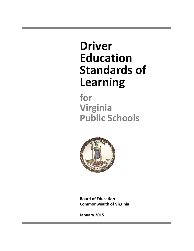# **Driver Education Standards of Learning**

**for Virginia Public Schools**



**Board of Education Commonwealth of Virginia**

**January 2015**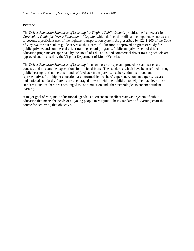# **Preface**

The *Driver Education Standards of Learning for Virginia Public Schools* provides the framework for the *Curriculum Guide for Driver Education in Virginia,* which defines the skills and competencies necessary to become a proficient user of the highway transportation system. As prescribed by §22.1-205 of the *Code of Virginia*, the curriculum guide serves as the Board of Education's approved program of study for public, private, and commercial driver training school programs. Public and private school driver education programs are approved by the Board of Education, and commercial driver training schools are approved and licensed by the Virginia Department of Motor Vehicles.

The *Driver Education Standards of Learning* focus on core concepts and procedures and set clear, concise, and measurable expectations for novice drivers. The standards, which have been refined through public hearings and numerous rounds of feedback from parents, teachers, administrators, and representatives from higher education, are informed by teachers' experience, content experts, research and national standards. Parents are encouraged to work with their children to help them achieve these standards, and teachers are encouraged to use simulation and other technologies to enhance student learning.

A major goal of Virginia's educational agenda is to create an excellent statewide system of public education that meets the needs of all young people in Virginia. These Standards of Learning chart the course for achieving that objective.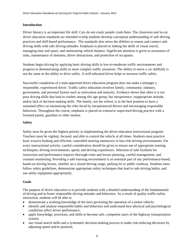## **Introduction**

Driver literacy is an important life skill. Cars do not crash; people crash them. The classroom and in-car driver education standards are intended to help students develop conceptual understanding of safe driving practices and skill-based performance. The standards also stress the abilities to reason and connect safe driving skills with safe driving attitudes. Emphasis is placed on linking the skills of visual search, managing time and space, and maintaining vehicle balance. Significant attention is given to awareness of risks, maintenance of alertness, driver distractions, and protection of occupants.

Students begin driving by applying basic driving skills in low-to-moderate traffic environments and progress to demonstrating skills in more complex traffic situations. The ability to move a car skillfully is not the same as the ability to drive safely. A well-educated driver helps to increase traffic safety.

Successful completion of a state-approved driver education program does not make a teenager a responsible, experienced driver. Traffic safety education involves family, community, industry, government, and personal factors such as motivation and maturity. Evidence shows that often it is not poor driving skills that lead to crashes among this age group, but inexperience, inappropriate attitude, and/or lack of decision-making skills. The family, not the school, is in the best position to have a sustained effect on minimizing the risks faced by inexperienced drivers and encouraging responsible behaviors. Throughout the course, emphasis is placed on extensive supervised driving practice with a licensed parent, guardian or other mentor.

# **Safety**

Safety must be given the highest priority in implementing the driver education instructional program. Teachers must be vigilant, focused, and able to control the vehicle at all times. Students must practice basic evasive braking and efficient, controlled steering maneuvers in low-risk driving environments. For every instructional activity, careful consideration should be given to ensure use of appropriate training techniques, driving environments, speed, and driving experiences. Selection of safe facilities for instruction and performance requires thorough route and lesson planning, careful management, and constant monitoring. Providing a safe learning environment is an essential part of any performance-based, hands-on driving lesson, whether on a closed driving range, parking lot or public roadway. Students must follow safety guidelines, demonstrate appropriate safety techniques that lead to safe driving habits, and use safety equipment appropriately.

#### **Goals**

The purpose of driver education is to provide students with a detailed understanding of the fundamentals of driving and to foster responsible driving attitudes and behaviors. As a result of quality traffic-safety instruction, students will be able to

- demonstrate a working knowledge of the laws governing the operation of a motor vehicle;
- identify and analyze responsible habits and behaviors and understand how physical and psychological conditions affect driver performance;
- apply knowledge, processes, and skills to become safe, competent users of the highway transportation system;
- use visual search skills and a systematic decision-making process to make risk-reducing decisions by adjusting speed and/or position;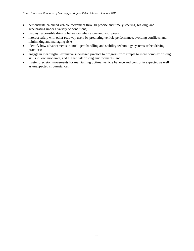- demonstrate balanced vehicle movement through precise and timely steering, braking, and accelerating under a variety of conditions;
- display responsible driving behaviors when alone and with peers;
- interact safely with other roadway users by predicting vehicle performance, avoiding conflicts, and minimizing and managing risks;
- identify how advancements in intelligent handling and stability technology systems affect driving practices;
- engage in meaningful, extensive supervised practice to progress from simple to more complex driving skills in low, moderate, and higher risk driving environments; and
- master precision movements for maintaining optimal vehicle balance and control in expected as well as unexpected circumstances.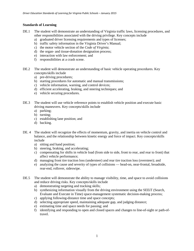## **Standards of Learning**

- DE.1 The student will demonstrate an understanding of Virginia traffic laws, licensing procedures, and other responsibilities associated with the driving privilege. Key concepts include
	- a) graduated driver licensing requirements and types of licenses;
	- b) traffic safety information in the Virginia Driver's Manual;
	- c) the motor vehicle section of the *Code of Virginia*;
	- d) the organ- and tissue-donation designation process;
	- e) interaction with law enforcement; and
	- f) responsibilities at a crash scene.
- DE.2 The student will demonstrate an understanding of basic vehicle operating procedures. Key concepts/skills include
	- a) pre-driving procedures;
	- b) starting procedures for automatic and manual transmissions;
	- c) vehicle information, warning, and control devices;
	- d) efficient accelerating, braking, and steering techniques; and
	- e) vehicle securing procedures.
- DE.3 The student will use vehicle reference points to establish vehicle position and execute basic driving maneuvers. Key concepts/skills include
	- a) parking;
	- b) turning;
	- c) establishing lane position; and
	- d) backing.
- DE. 4 The student will recognize the effects of momentum, gravity, and inertia on vehicle control and balance, and the relationship between kinetic energy and force of impact. Key concepts/skills include
	- a) sitting and hand position;
	- b) steering, braking, and accelerating;
	- c) compensating for shifts in vehicle load (from side to side, front to rear, and rear to front) that affect vehicle performance;
	- d) managing front tire traction loss (understeer) and rear tire traction loss (oversteer); and
	- e) analyzing the cause and severity of types of collisions head-on, near-frontal, broadside, rear-end, rollover, sideswipe.
- DE.5 The student will demonstrate the ability to manage visibility, time, and space to avoid collisions and reduce driving risks. Key concepts/skills include
	- a) demonstrating targeting and tracking skills;
	- b) synthesizing information visually from the driving environment using the SEEiT (Search, Evaluate and Execute in Time) space-management systematic decision-making process;
	- c) applying following-distance time and space concepts;
	- d) selecting appropriate speed, maintaining adequate gap, and judging distance;
	- e) estimating time and space needs for passing; and
	- f) identifying and responding to open and closed spaces and changes to line-of-sight or path-oftravel.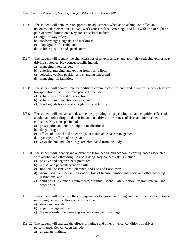- DE.6 The student will demonstrate appropriate adjustments when approaching controlled and uncontrolled intersections, curves, work zones, railroad crossings, and hills with line-of-sight or path-of-travel limitations. Key concepts/skills include
	- a) right-of-way rules;
	- b) roadway signs, signals, and markings;
	- c) slope/grade of terrain; and
	- d) vehicle position and speed control.
- DE.7 The student will identify the characteristics of an expressway and apply risk-reducing expressway driving strategies. Key concepts/skills include
	- a) managing interchanges;
	- b) entering, merging, and exiting from traffic flow;
	- c) selecting vehicle position and changing lanes; and
	- d) managing toll facilities.
- DE.8 The student will demonstrate the ability to communicate presence and intentions to other highway transportation users. Key concepts/skills include
	- a) vehicle position and driver action;
	- b) vehicle communication devices; and
	- c) hand signals for slow/stop, right turn and left turn.
- DE.9 The student will analyze and describe the physiological, psychological, and cognitive effects of alcohol and other drugs and their impact on a driver's awareness of risks and involvement in collisions. Key concepts include
	- a) prescription and nonprescription medications;
	- b) illegal drugs;
	- c) effects of alcohol and other drugs on vision and space management;
	- d) synergistic effects of drugs; and
	- e) ways alcohol and other drugs are eliminated from the body.
- DE.10 The student will identify and analyze the legal, health, and economic consequences associated with alcohol and other drug use and driving. Key concepts/skills include
	- a) positive and negative peer pressure;
	- b) refusal and peer-intervention skills;
	- c) Implied Consent, Zero Tolerance, and Use and Lose laws;
	- d) Administrative License Revocation, loss of license, ignition interlock, and other licensing restrictions; and
	- e) court costs, insurance requirements, Virginia Alcohol Safety Action Program referral, and other costs.
- DE.11 The student will recognize the consequences of aggressive driving and the influence of emotions on driving behaviors. Key concepts include
	- a) stress and anxiety;
	- b) anger management; and
	- c) the relationship between aggressive driving and road rage.
- DE.12 The student will analyze the effects of fatigue and other physical conditions on driver performance. Key concepts include
	- a) circadian rhythms;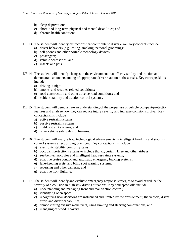- b) sleep deprivation;
- c) short- and long-term physical and mental disabilities; and
- d) chronic health conditions.
- DE.13 The student will identify distractions that contribute to driver error. Key concepts include
	- a) driver behaviors (e.g., eating, smoking, personal grooming);
	- b) cell phones and other portable technology devices;
	- c) passengers;
	- d) vehicle accessories; and
	- e) insects and pets.
- DE.14 The student will identify changes in the environment that affect visibility and traction and demonstrate an understanding of appropriate driver reaction to these risks. Key concepts/skills include
	- a) driving at night;
	- b) smoke- and weather-related conditions;
	- c) road construction and other adverse road conditions; and
	- d) vehicle stability and traction control systems.
- DE.15 The student will demonstrate an understanding of the proper use of vehicle occupant-protection features and analyze how they can reduce injury severity and increase collision survival. Key concepts/skills include
	- a) active restraint systems;
	- b) passive restraint systems;
	- c) child restraint systems; and
	- d) other vehicle safety design features.
- DE.16 The student will analyze how technological advancements in intelligent handling and stability control systems affect driving practices. Key concepts/skills include
	- a) electronic stability control systems;
	- b) occupant protection systems to include thorax, curtain, knee and other airbags;
	- c) seatbelt technologies and intelligent head restraints systems;
	- d) adaptive cruise control and automatic emergency braking systems;
	- e) lane-keeping assist and blind spot warning systems;
	- f) reversing and other cameras; and
	- g) adaptive front lighting.
- DE 17 The student will identify and evaluate emergency-response strategies to avoid or reduce the severity of a collision in high-risk driving situations. Key concepts/skills include
	- a) understanding and managing front and rear traction control;
	- b) identifying open space;
	- c) recognizing how decisions are influenced and limited by the environment, the vehicle, driver error, and driver capabilities;
	- d) demonstrating evasive maneuvers, using braking and steering combinations; and
	- e) managing off-road recovery.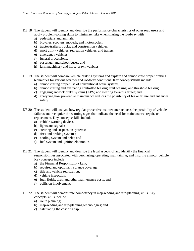- DE.18 The student will identify and describe the performance characteristics of other road users and apply problem-solving skills to minimize risks when sharing the roadway with
	- a) pedestrians and animals;
	- b) bicycles, scooters, mopeds, and motorcycles;
	- c) tractor-trailers, trucks, and construction vehicles;
	- d) sport utility vehicles, recreation vehicles, and trailers;
	- e) emergency vehicles;
	- f) funeral processions;
	- g) passenger and school buses; and
	- h) farm machinery and horse-drawn vehicles.
- DE.19 The student will compare vehicle braking systems and explain and demonstrate proper braking techniques for various weather and roadway conditions. Key concepts/skills include
	- a) demonstrating proper use of conventional brake systems;
	- b) demonstrating and evaluating controlled braking, trail braking, and threshold braking;
	- c) engaging antilock brake systems (ABS) and steering toward a target; and
	- d) analyzing how preventive maintenance reduces the possibility of brake failure and enhances safety.
- DE.20 The student will analyze how regular preventive maintenance reduces the possibility of vehicle failures and recognize the warning signs that indicate the need for maintenance, repair, or replacement. Key concepts/skills include
	- a) vehicle warning devices;
	- b) lights and signals;
	- c) steering and suspension systems;
	- d) tires and braking systems;
	- e) cooling system and belts; and
	- f) fuel system and ignition electronics.
- DE.21 The student will identify and describe the legal aspects of and identify the financial responsibilities associated with purchasing, operating, maintaining, and insuring a motor vehicle. Key concepts include
	- a) the Financial Responsibility Law;
	- b) required and optional insurance coverage;
	- c) title and vehicle registration;
	- d) vehicle inspection;
	- e) fuel, fluids, tires, and other maintenance costs; and
	- f) collision involvement.
- DE.22 The student will demonstrate competency in map-reading and trip-planning skills. Key concepts/skills include
	- a) route planning;
	- b) map-reading and trip-planning technologies; and
	- c) calculating the cost of a trip.